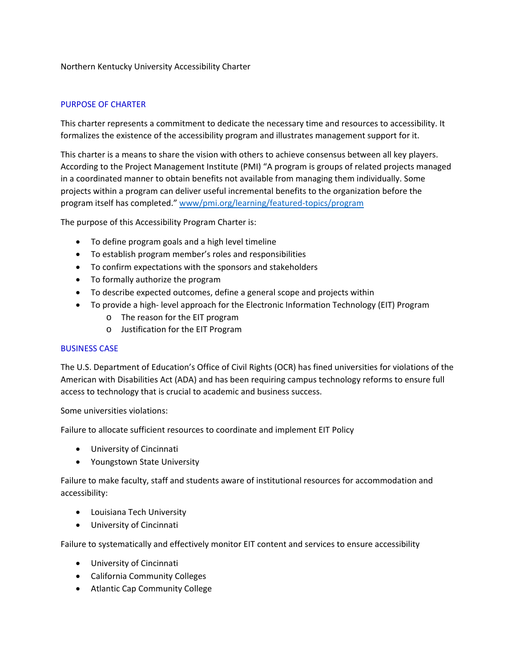# Northern Kentucky University Accessibility Charter

# PURPOSE OF CHARTER

This charter represents a commitment to dedicate the necessary time and resources to accessibility. It formalizes the existence of the accessibility program and illustrates management support for it.

This charter is a means to share the vision with others to achieve consensus between all key players. According to the Project Management Institute (PMI) "A program is groups of related projects managed in a coordinated manner to obtain benefits not available from managing them individually. Some projects within a program can deliver useful incremental benefits to the organization before the program itself has completed." www/pmi.org/learning/featured-topics/program

The purpose of this Accessibility Program Charter is:

- To define program goals and a high level timeline
- To establish program member's roles and responsibilities
- To confirm expectations with the sponsors and stakeholders
- To formally authorize the program
- To describe expected outcomes, define a general scope and projects within
- To provide a high- level approach for the Electronic Information Technology (EIT) Program
	- o The reason for the EIT program
	- o Justification for the EIT Program

## BUSINESS CASE

The U.S. Department of Education's Office of Civil Rights (OCR) has fined universities for violations of the American with Disabilities Act (ADA) and has been requiring campus technology reforms to ensure full access to technology that is crucial to academic and business success.

Some universities violations:

Failure to allocate sufficient resources to coordinate and implement EIT Policy

- University of Cincinnati
- Youngstown State University

Failure to make faculty, staff and students aware of institutional resources for accommodation and accessibility:

- Louisiana Tech University
- University of Cincinnati

Failure to systematically and effectively monitor EIT content and services to ensure accessibility

- University of Cincinnati
- California Community Colleges
- Atlantic Cap Community College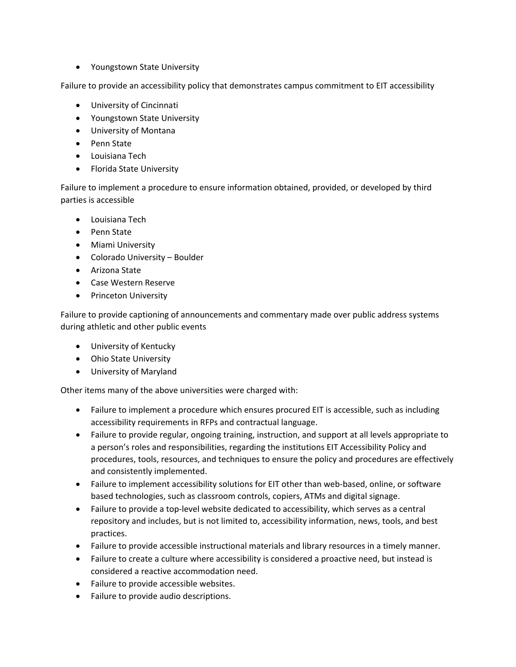• Youngstown State University

Failure to provide an accessibility policy that demonstrates campus commitment to EIT accessibility

- University of Cincinnati
- Youngstown State University
- University of Montana
- Penn State
- Louisiana Tech
- Florida State University

Failure to implement a procedure to ensure information obtained, provided, or developed by third parties is accessible

- Louisiana Tech
- Penn State
- Miami University
- Colorado University Boulder
- Arizona State
- Case Western Reserve
- Princeton University

Failure to provide captioning of announcements and commentary made over public address systems during athletic and other public events

- University of Kentucky
- Ohio State University
- University of Maryland

Other items many of the above universities were charged with:

- Failure to implement a procedure which ensures procured EIT is accessible, such as including accessibility requirements in RFPs and contractual language.
- Failure to provide regular, ongoing training, instruction, and support at all levels appropriate to a person's roles and responsibilities, regarding the institutions EIT Accessibility Policy and procedures, tools, resources, and techniques to ensure the policy and procedures are effectively and consistently implemented.
- Failure to implement accessibility solutions for EIT other than web-based, online, or software based technologies, such as classroom controls, copiers, ATMs and digital signage.
- Failure to provide a top-level website dedicated to accessibility, which serves as a central repository and includes, but is not limited to, accessibility information, news, tools, and best practices.
- Failure to provide accessible instructional materials and library resources in a timely manner.
- Failure to create a culture where accessibility is considered a proactive need, but instead is considered a reactive accommodation need.
- Failure to provide accessible websites.
- Failure to provide audio descriptions.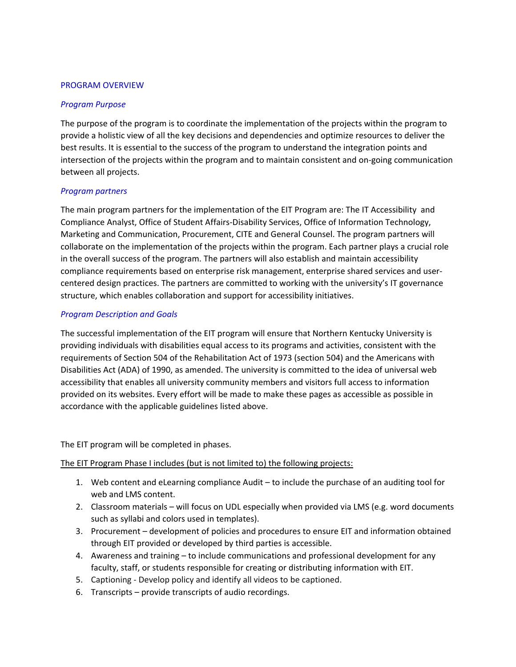### PROGRAM OVERVIEW

#### *Program Purpose*

The purpose of the program is to coordinate the implementation of the projects within the program to provide a holistic view of all the key decisions and dependencies and optimize resources to deliver the best results. It is essential to the success of the program to understand the integration points and intersection of the projects within the program and to maintain consistent and on-going communication between all projects.

#### *Program partners*

The main program partners for the implementation of the EIT Program are: The IT Accessibility and Compliance Analyst, Office of Student Affairs-Disability Services, Office of Information Technology, Marketing and Communication, Procurement, CITE and General Counsel. The program partners will collaborate on the implementation of the projects within the program. Each partner plays a crucial role in the overall success of the program. The partners will also establish and maintain accessibility compliance requirements based on enterprise risk management, enterprise shared services and usercentered design practices. The partners are committed to working with the university's IT governance structure, which enables collaboration and support for accessibility initiatives.

#### *Program Description and Goals*

The successful implementation of the EIT program will ensure that Northern Kentucky University is providing individuals with disabilities equal access to its programs and activities, consistent with the requirements of Section 504 of the Rehabilitation Act of 1973 (section 504) and the Americans with Disabilities Act (ADA) of 1990, as amended. The university is committed to the idea of universal web accessibility that enables all university community members and visitors full access to information provided on its websites. Every effort will be made to make these pages as accessible as possible in accordance with the applicable guidelines listed above.

The EIT program will be completed in phases.

The EIT Program Phase I includes (but is not limited to) the following projects:

- 1. Web content and eLearning compliance Audit to include the purchase of an auditing tool for web and LMS content.
- 2. Classroom materials will focus on UDL especially when provided via LMS (e.g. word documents such as syllabi and colors used in templates).
- 3. Procurement development of policies and procedures to ensure EIT and information obtained through EIT provided or developed by third parties is accessible.
- 4. Awareness and training to include communications and professional development for any faculty, staff, or students responsible for creating or distributing information with EIT.
- 5. Captioning Develop policy and identify all videos to be captioned.
- 6. Transcripts provide transcripts of audio recordings.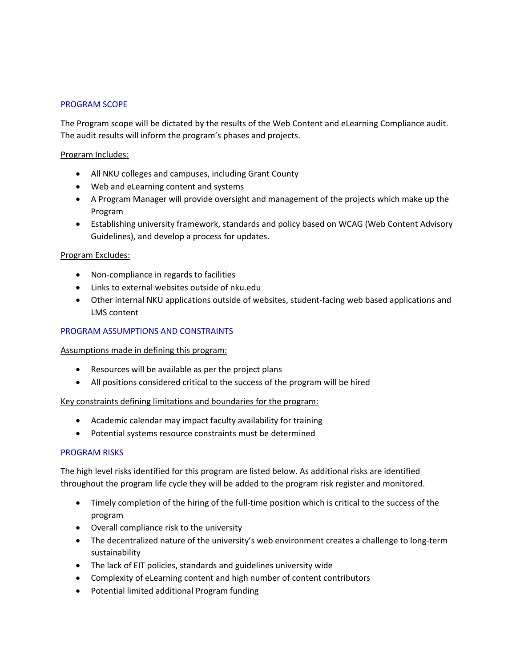### PROGRAM SCOPE

The Program scope will be dictated by the results of the Web Content and eLearning Compliance audit. The audit results will inform the program's phases and projects.

### Program Includes:

- All NKU colleges and campuses, including Grant County
- Web and eLearning content and systems
- A Program Manager will provide oversight and management of the projects which make up the Program
- Establishing university framework, standards and policy based on WCAG (Web Content Advisory Guidelines), and develop a process for updates.

#### Program Excludes:

- Non-compliance in regards to facilities
- Links to external websites outside of nku.edu
- Other internal NKU applications outside of websites, student-facing web based applications and LMS content

#### PROGRAM ASSUMPTIONS AND CONSTRAINTS

#### Assumptions made in defining this program:

- Resources will be available as per the project plans
- All positions considered critical to the success of the program will be hired

## Key constraints defining limitations and boundaries for the program:

- Academic calendar may impact faculty availability for training
- Potential systems resource constraints must be determined

## PROGRAM RISKS

The high level risks identified for this program are listed below. As additional risks are identified throughout the program life cycle they will be added to the program risk register and monitored.

- Timely completion of the hiring of the full-time position which is critical to the success of the program
- Overall compliance risk to the university
- The decentralized nature of the university's web environment creates a challenge to long-term sustainability
- The lack of EIT policies, standards and guidelines university wide
- Complexity of eLearning content and high number of content contributors
- Potential limited additional Program funding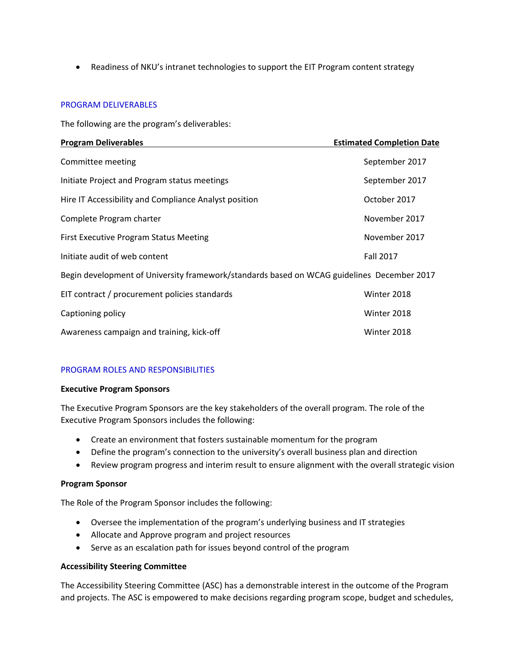• Readiness of NKU's intranet technologies to support the EIT Program content strategy

#### PROGRAM DELIVERABLES

The following are the program's deliverables:

| <b>Program Deliverables</b>                                                                | <b>Estimated Completion Date</b> |
|--------------------------------------------------------------------------------------------|----------------------------------|
| Committee meeting                                                                          | September 2017                   |
| Initiate Project and Program status meetings                                               | September 2017                   |
| Hire IT Accessibility and Compliance Analyst position                                      | October 2017                     |
| Complete Program charter                                                                   | November 2017                    |
| First Executive Program Status Meeting                                                     | November 2017                    |
| Initiate audit of web content                                                              | <b>Fall 2017</b>                 |
| Begin development of University framework/standards based on WCAG guidelines December 2017 |                                  |
| EIT contract / procurement policies standards                                              | Winter 2018                      |
| Captioning policy                                                                          | Winter 2018                      |
| Awareness campaign and training, kick-off                                                  | Winter 2018                      |

# PROGRAM ROLES AND RESPONSIBILITIES

#### **Executive Program Sponsors**

The Executive Program Sponsors are the key stakeholders of the overall program. The role of the Executive Program Sponsors includes the following:

- Create an environment that fosters sustainable momentum for the program
- Define the program's connection to the university's overall business plan and direction
- Review program progress and interim result to ensure alignment with the overall strategic vision

## **Program Sponsor**

The Role of the Program Sponsor includes the following:

- Oversee the implementation of the program's underlying business and IT strategies
- Allocate and Approve program and project resources
- Serve as an escalation path for issues beyond control of the program

## **Accessibility Steering Committee**

The Accessibility Steering Committee (ASC) has a demonstrable interest in the outcome of the Program and projects. The ASC is empowered to make decisions regarding program scope, budget and schedules,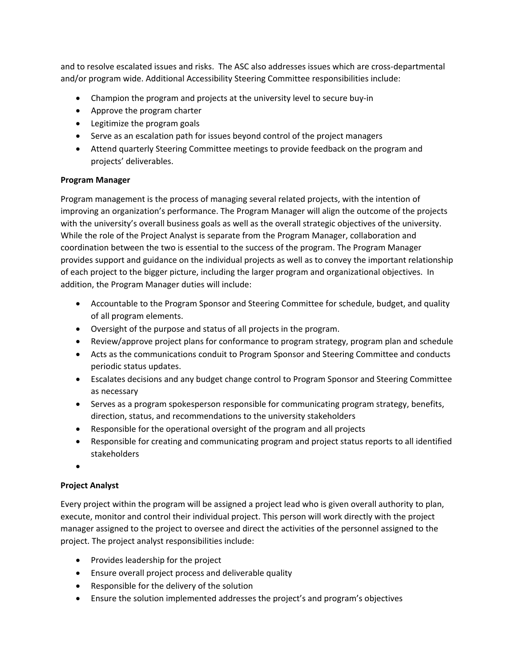and to resolve escalated issues and risks. The ASC also addresses issues which are cross-departmental and/or program wide. Additional Accessibility Steering Committee responsibilities include:

- Champion the program and projects at the university level to secure buy-in
- Approve the program charter
- Legitimize the program goals
- Serve as an escalation path for issues beyond control of the project managers
- Attend quarterly Steering Committee meetings to provide feedback on the program and projects' deliverables.

# **Program Manager**

Program management is the process of managing several related projects, with the intention of improving an organization's performance. The Program Manager will align the outcome of the projects with the university's overall business goals as well as the overall strategic objectives of the university. While the role of the Project Analyst is separate from the Program Manager, collaboration and coordination between the two is essential to the success of the program. The Program Manager provides support and guidance on the individual projects as well as to convey the important relationship of each project to the bigger picture, including the larger program and organizational objectives. In addition, the Program Manager duties will include:

- Accountable to the Program Sponsor and Steering Committee for schedule, budget, and quality of all program elements.
- Oversight of the purpose and status of all projects in the program.
- Review/approve project plans for conformance to program strategy, program plan and schedule
- Acts as the communications conduit to Program Sponsor and Steering Committee and conducts periodic status updates.
- Escalates decisions and any budget change control to Program Sponsor and Steering Committee as necessary
- Serves as a program spokesperson responsible for communicating program strategy, benefits, direction, status, and recommendations to the university stakeholders
- Responsible for the operational oversight of the program and all projects
- Responsible for creating and communicating program and project status reports to all identified stakeholders
- •

# **Project Analyst**

Every project within the program will be assigned a project lead who is given overall authority to plan, execute, monitor and control their individual project. This person will work directly with the project manager assigned to the project to oversee and direct the activities of the personnel assigned to the project. The project analyst responsibilities include:

- Provides leadership for the project
- Ensure overall project process and deliverable quality
- Responsible for the delivery of the solution
- Ensure the solution implemented addresses the project's and program's objectives